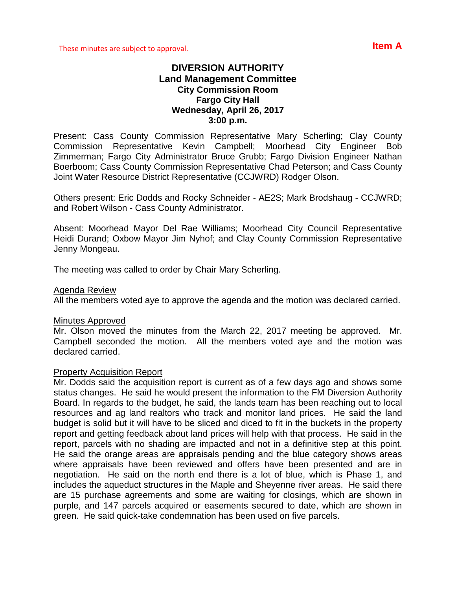## **DIVERSION AUTHORITY Land Management Committee City Commission Room Fargo City Hall Wednesday, April 26, 2017 3:00 p.m.**

Present: Cass County Commission Representative Mary Scherling; Clay County Commission Representative Kevin Campbell; Moorhead City Engineer Bob Zimmerman; Fargo City Administrator Bruce Grubb; Fargo Division Engineer Nathan Boerboom; Cass County Commission Representative Chad Peterson; and Cass County Joint Water Resource District Representative (CCJWRD) Rodger Olson.

Others present: Eric Dodds and Rocky Schneider - AE2S; Mark Brodshaug - CCJWRD; and Robert Wilson - Cass County Administrator.

Absent: Moorhead Mayor Del Rae Williams; Moorhead City Council Representative Heidi Durand; Oxbow Mayor Jim Nyhof; and Clay County Commission Representative Jenny Mongeau.

The meeting was called to order by Chair Mary Scherling.

## Agenda Review

All the members voted aye to approve the agenda and the motion was declared carried.

### Minutes Approved

Mr. Olson moved the minutes from the March 22, 2017 meeting be approved. Mr. Campbell seconded the motion. All the members voted aye and the motion was declared carried.

### Property Acquisition Report

Mr. Dodds said the acquisition report is current as of a few days ago and shows some status changes. He said he would present the information to the FM Diversion Authority Board. In regards to the budget, he said, the lands team has been reaching out to local resources and ag land realtors who track and monitor land prices. He said the land budget is solid but it will have to be sliced and diced to fit in the buckets in the property report and getting feedback about land prices will help with that process. He said in the report, parcels with no shading are impacted and not in a definitive step at this point. He said the orange areas are appraisals pending and the blue category shows areas where appraisals have been reviewed and offers have been presented and are in negotiation. He said on the north end there is a lot of blue, which is Phase 1, and includes the aqueduct structures in the Maple and Sheyenne river areas. He said there are 15 purchase agreements and some are waiting for closings, which are shown in purple, and 147 parcels acquired or easements secured to date, which are shown in green. He said quick-take condemnation has been used on five parcels.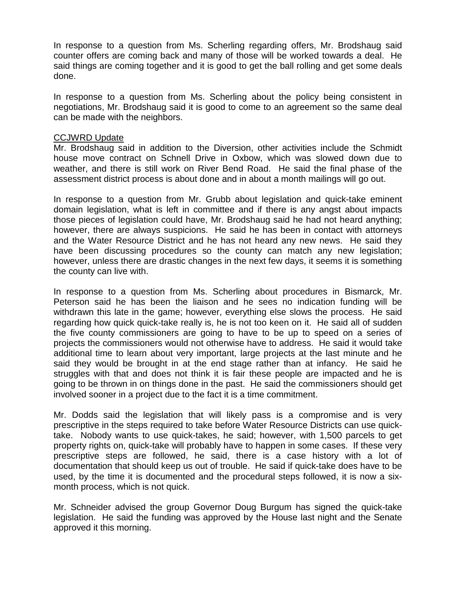In response to a question from Ms. Scherling regarding offers, Mr. Brodshaug said counter offers are coming back and many of those will be worked towards a deal. He said things are coming together and it is good to get the ball rolling and get some deals done.

In response to a question from Ms. Scherling about the policy being consistent in negotiations, Mr. Brodshaug said it is good to come to an agreement so the same deal can be made with the neighbors.

## CCJWRD Update

Mr. Brodshaug said in addition to the Diversion, other activities include the Schmidt house move contract on Schnell Drive in Oxbow, which was slowed down due to weather, and there is still work on River Bend Road. He said the final phase of the assessment district process is about done and in about a month mailings will go out.

In response to a question from Mr. Grubb about legislation and quick-take eminent domain legislation, what is left in committee and if there is any angst about impacts those pieces of legislation could have, Mr. Brodshaug said he had not heard anything; however, there are always suspicions. He said he has been in contact with attorneys and the Water Resource District and he has not heard any new news. He said they have been discussing procedures so the county can match any new legislation; however, unless there are drastic changes in the next few days, it seems it is something the county can live with.

In response to a question from Ms. Scherling about procedures in Bismarck, Mr. Peterson said he has been the liaison and he sees no indication funding will be withdrawn this late in the game; however, everything else slows the process. He said regarding how quick quick-take really is, he is not too keen on it. He said all of sudden the five county commissioners are going to have to be up to speed on a series of projects the commissioners would not otherwise have to address. He said it would take additional time to learn about very important, large projects at the last minute and he said they would be brought in at the end stage rather than at infancy. He said he struggles with that and does not think it is fair these people are impacted and he is going to be thrown in on things done in the past. He said the commissioners should get involved sooner in a project due to the fact it is a time commitment.

Mr. Dodds said the legislation that will likely pass is a compromise and is very prescriptive in the steps required to take before Water Resource Districts can use quicktake. Nobody wants to use quick-takes, he said; however, with 1,500 parcels to get property rights on, quick-take will probably have to happen in some cases. If these very prescriptive steps are followed, he said, there is a case history with a lot of documentation that should keep us out of trouble. He said if quick-take does have to be used, by the time it is documented and the procedural steps followed, it is now a sixmonth process, which is not quick.

Mr. Schneider advised the group Governor Doug Burgum has signed the quick-take legislation. He said the funding was approved by the House last night and the Senate approved it this morning.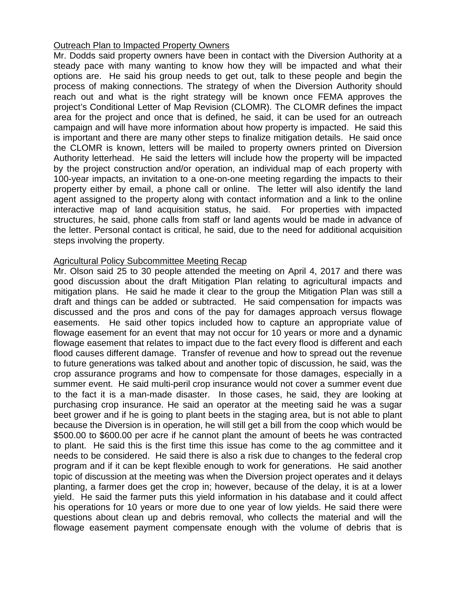# Outreach Plan to Impacted Property Owners

Mr. Dodds said property owners have been in contact with the Diversion Authority at a steady pace with many wanting to know how they will be impacted and what their options are. He said his group needs to get out, talk to these people and begin the process of making connections. The strategy of when the Diversion Authority should reach out and what is the right strategy will be known once FEMA approves the project's Conditional Letter of Map Revision (CLOMR). The CLOMR defines the impact area for the project and once that is defined, he said, it can be used for an outreach campaign and will have more information about how property is impacted. He said this is important and there are many other steps to finalize mitigation details. He said once the CLOMR is known, letters will be mailed to property owners printed on Diversion Authority letterhead. He said the letters will include how the property will be impacted by the project construction and/or operation, an individual map of each property with 100-year impacts, an invitation to a one-on-one meeting regarding the impacts to their property either by email, a phone call or online. The letter will also identify the land agent assigned to the property along with contact information and a link to the online interactive map of land acquisition status, he said. For properties with impacted structures, he said, phone calls from staff or land agents would be made in advance of the letter. Personal contact is critical, he said, due to the need for additional acquisition steps involving the property.

# Agricultural Policy Subcommittee Meeting Recap

Mr. Olson said 25 to 30 people attended the meeting on April 4, 2017 and there was good discussion about the draft Mitigation Plan relating to agricultural impacts and mitigation plans. He said he made it clear to the group the Mitigation Plan was still a draft and things can be added or subtracted. He said compensation for impacts was discussed and the pros and cons of the pay for damages approach versus flowage easements. He said other topics included how to capture an appropriate value of flowage easement for an event that may not occur for 10 years or more and a dynamic flowage easement that relates to impact due to the fact every flood is different and each flood causes different damage. Transfer of revenue and how to spread out the revenue to future generations was talked about and another topic of discussion, he said, was the crop assurance programs and how to compensate for those damages, especially in a summer event. He said multi-peril crop insurance would not cover a summer event due to the fact it is a man-made disaster. In those cases, he said, they are looking at purchasing crop insurance. He said an operator at the meeting said he was a sugar beet grower and if he is going to plant beets in the staging area, but is not able to plant because the Diversion is in operation, he will still get a bill from the coop which would be \$500.00 to \$600.00 per acre if he cannot plant the amount of beets he was contracted to plant. He said this is the first time this issue has come to the ag committee and it needs to be considered. He said there is also a risk due to changes to the federal crop program and if it can be kept flexible enough to work for generations. He said another topic of discussion at the meeting was when the Diversion project operates and it delays planting, a farmer does get the crop in; however, because of the delay, it is at a lower yield. He said the farmer puts this yield information in his database and it could affect his operations for 10 years or more due to one year of low yields. He said there were questions about clean up and debris removal, who collects the material and will the flowage easement payment compensate enough with the volume of debris that is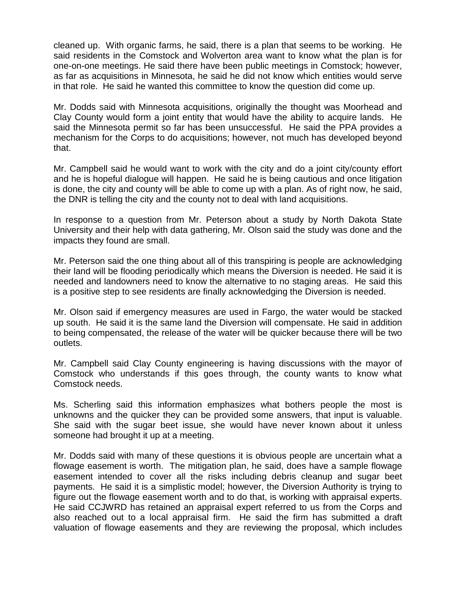cleaned up. With organic farms, he said, there is a plan that seems to be working. He said residents in the Comstock and Wolverton area want to know what the plan is for one-on-one meetings. He said there have been public meetings in Comstock; however, as far as acquisitions in Minnesota, he said he did not know which entities would serve in that role. He said he wanted this committee to know the question did come up.

Mr. Dodds said with Minnesota acquisitions, originally the thought was Moorhead and Clay County would form a joint entity that would have the ability to acquire lands. He said the Minnesota permit so far has been unsuccessful. He said the PPA provides a mechanism for the Corps to do acquisitions; however, not much has developed beyond that.

Mr. Campbell said he would want to work with the city and do a joint city/county effort and he is hopeful dialogue will happen. He said he is being cautious and once litigation is done, the city and county will be able to come up with a plan. As of right now, he said, the DNR is telling the city and the county not to deal with land acquisitions.

In response to a question from Mr. Peterson about a study by North Dakota State University and their help with data gathering, Mr. Olson said the study was done and the impacts they found are small.

Mr. Peterson said the one thing about all of this transpiring is people are acknowledging their land will be flooding periodically which means the Diversion is needed. He said it is needed and landowners need to know the alternative to no staging areas. He said this is a positive step to see residents are finally acknowledging the Diversion is needed.

Mr. Olson said if emergency measures are used in Fargo, the water would be stacked up south. He said it is the same land the Diversion will compensate. He said in addition to being compensated, the release of the water will be quicker because there will be two outlets.

Mr. Campbell said Clay County engineering is having discussions with the mayor of Comstock who understands if this goes through, the county wants to know what Comstock needs.

Ms. Scherling said this information emphasizes what bothers people the most is unknowns and the quicker they can be provided some answers, that input is valuable. She said with the sugar beet issue, she would have never known about it unless someone had brought it up at a meeting.

Mr. Dodds said with many of these questions it is obvious people are uncertain what a flowage easement is worth. The mitigation plan, he said, does have a sample flowage easement intended to cover all the risks including debris cleanup and sugar beet payments. He said it is a simplistic model; however, the Diversion Authority is trying to figure out the flowage easement worth and to do that, is working with appraisal experts. He said CCJWRD has retained an appraisal expert referred to us from the Corps and also reached out to a local appraisal firm. He said the firm has submitted a draft valuation of flowage easements and they are reviewing the proposal, which includes